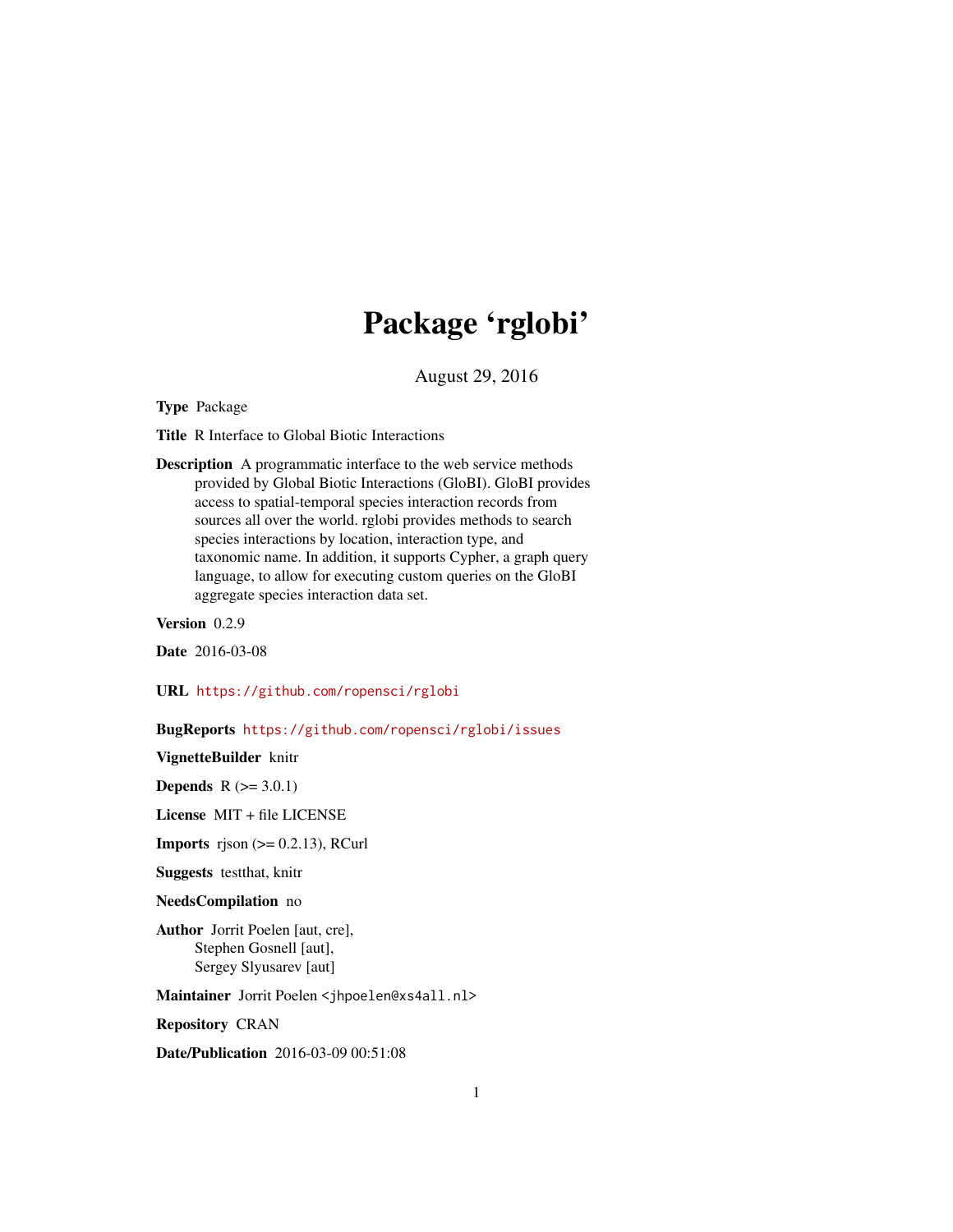# Package 'rglobi'

August 29, 2016

Type Package

Title R Interface to Global Biotic Interactions

Description A programmatic interface to the web service methods provided by Global Biotic Interactions (GloBI). GloBI provides access to spatial-temporal species interaction records from sources all over the world. rglobi provides methods to search species interactions by location, interaction type, and taxonomic name. In addition, it supports Cypher, a graph query language, to allow for executing custom queries on the GloBI aggregate species interaction data set.

Version 0.2.9

Date 2016-03-08

URL <https://github.com/ropensci/rglobi>

BugReports <https://github.com/ropensci/rglobi/issues>

VignetteBuilder knitr

**Depends**  $R (= 3.0.1)$ 

License MIT + file LICENSE

**Imports** rjson  $(>= 0.2.13)$ , RCurl

Suggests testthat, knitr

#### NeedsCompilation no

Author Jorrit Poelen [aut, cre], Stephen Gosnell [aut], Sergey Slyusarev [aut]

Maintainer Jorrit Poelen <jhpoelen@xs4all.nl>

Repository CRAN

Date/Publication 2016-03-09 00:51:08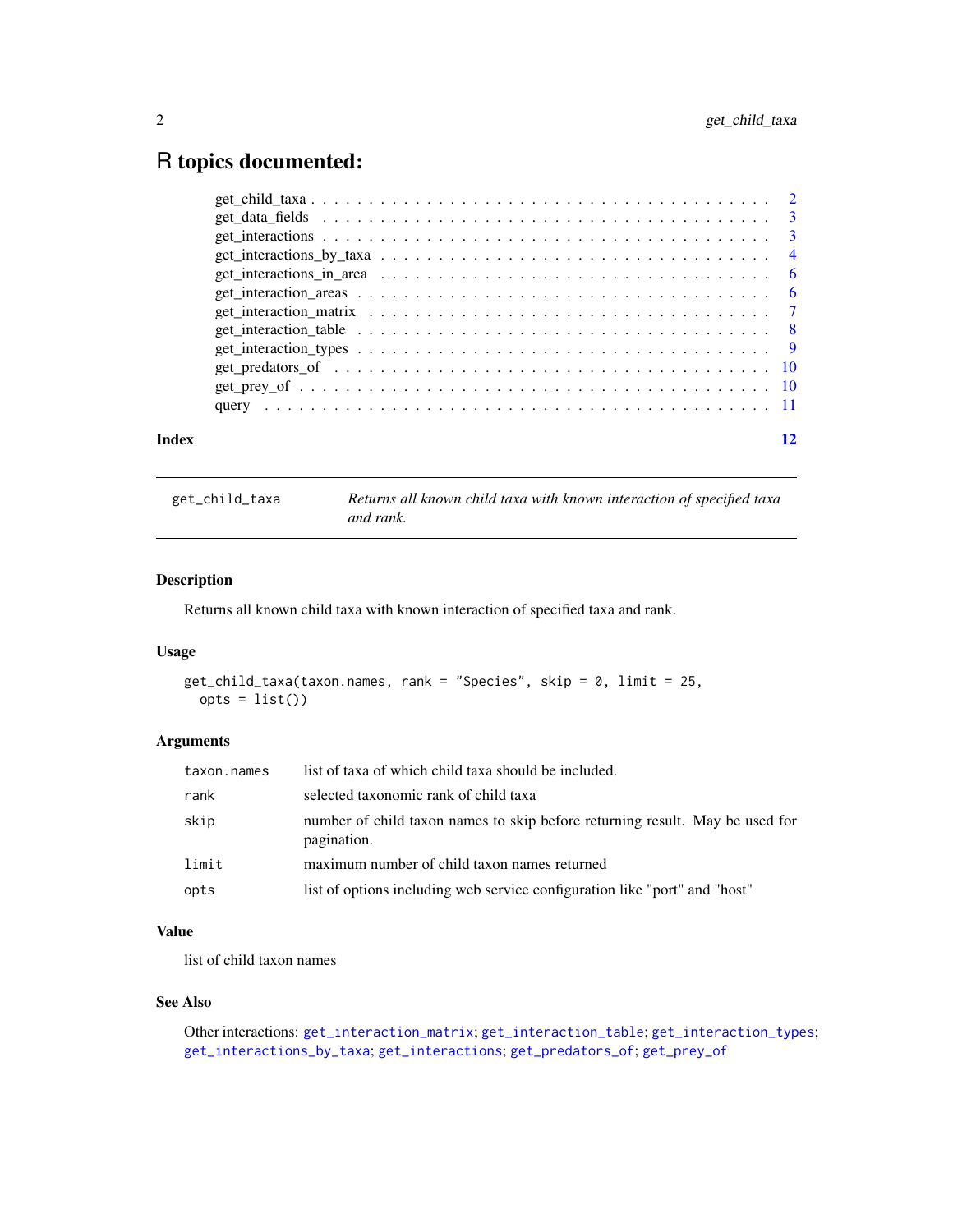# <span id="page-1-0"></span>R topics documented:

| Index |                                                                                                                                                                                                                              |  |
|-------|------------------------------------------------------------------------------------------------------------------------------------------------------------------------------------------------------------------------------|--|
|       |                                                                                                                                                                                                                              |  |
|       |                                                                                                                                                                                                                              |  |
|       | get_predators_of \cdot \cdot \cdot \cdot \cdot \cdot \cdot \cdot \cdot \cdot \cdot \cdot \cdot \cdot \cdot \cdot \cdot \cdot \cdot \cdot \cdot \cdot \cdot \cdot \cdot \cdot \cdot \cdot \cdot \cdot \cdot \cdot \cdot \cdot |  |
|       |                                                                                                                                                                                                                              |  |
|       |                                                                                                                                                                                                                              |  |
|       |                                                                                                                                                                                                                              |  |
|       |                                                                                                                                                                                                                              |  |
|       |                                                                                                                                                                                                                              |  |
|       |                                                                                                                                                                                                                              |  |
|       |                                                                                                                                                                                                                              |  |
|       |                                                                                                                                                                                                                              |  |
|       |                                                                                                                                                                                                                              |  |

<span id="page-1-1"></span>get\_child\_taxa *Returns all known child taxa with known interaction of specified taxa and rank.*

# Description

Returns all known child taxa with known interaction of specified taxa and rank.

# Usage

```
get_child_taxa(taxon.names, rank = "Species", skip = 0, limit = 25,
 opts = list()
```
# Arguments

| taxon.names | list of taxa of which child taxa should be included.                                        |
|-------------|---------------------------------------------------------------------------------------------|
| rank        | selected taxonomic rank of child taxa                                                       |
| skip        | number of child taxon names to skip before returning result. May be used for<br>pagination. |
| limit       | maximum number of child taxon names returned                                                |
| opts        | list of options including web service configuration like "port" and "host"                  |

# Value

list of child taxon names

# See Also

```
Other interactions: get_interaction_matrix; get_interaction_table; get_interaction_types;
get_interactions_by_taxa; get_interactions; get_predators_of; get_prey_of
```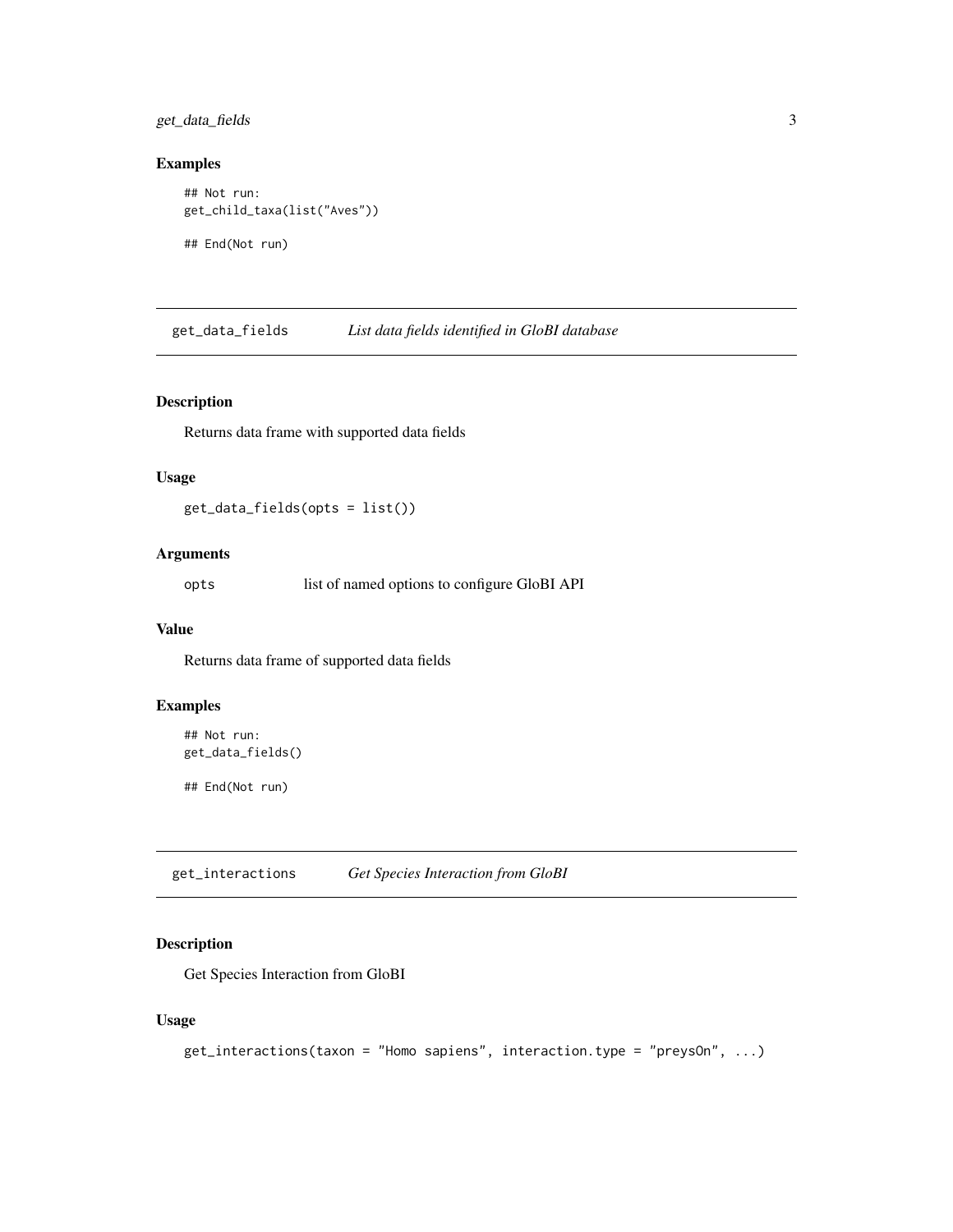<span id="page-2-0"></span>get\_data\_fields 3

# Examples

```
## Not run:
get_child_taxa(list("Aves"))
## End(Not run)
```
get\_data\_fields *List data fields identified in GloBI database*

# Description

Returns data frame with supported data fields

#### Usage

get\_data\_fields(opts = list())

#### Arguments

opts list of named options to configure GloBI API

#### Value

Returns data frame of supported data fields

# Examples

```
## Not run:
get_data_fields()
```
## End(Not run)

<span id="page-2-1"></span>get\_interactions *Get Species Interaction from GloBI*

#### Description

Get Species Interaction from GloBI

```
get_interactions(taxon = "Homo sapiens", interaction.type = "preysOn", ...)
```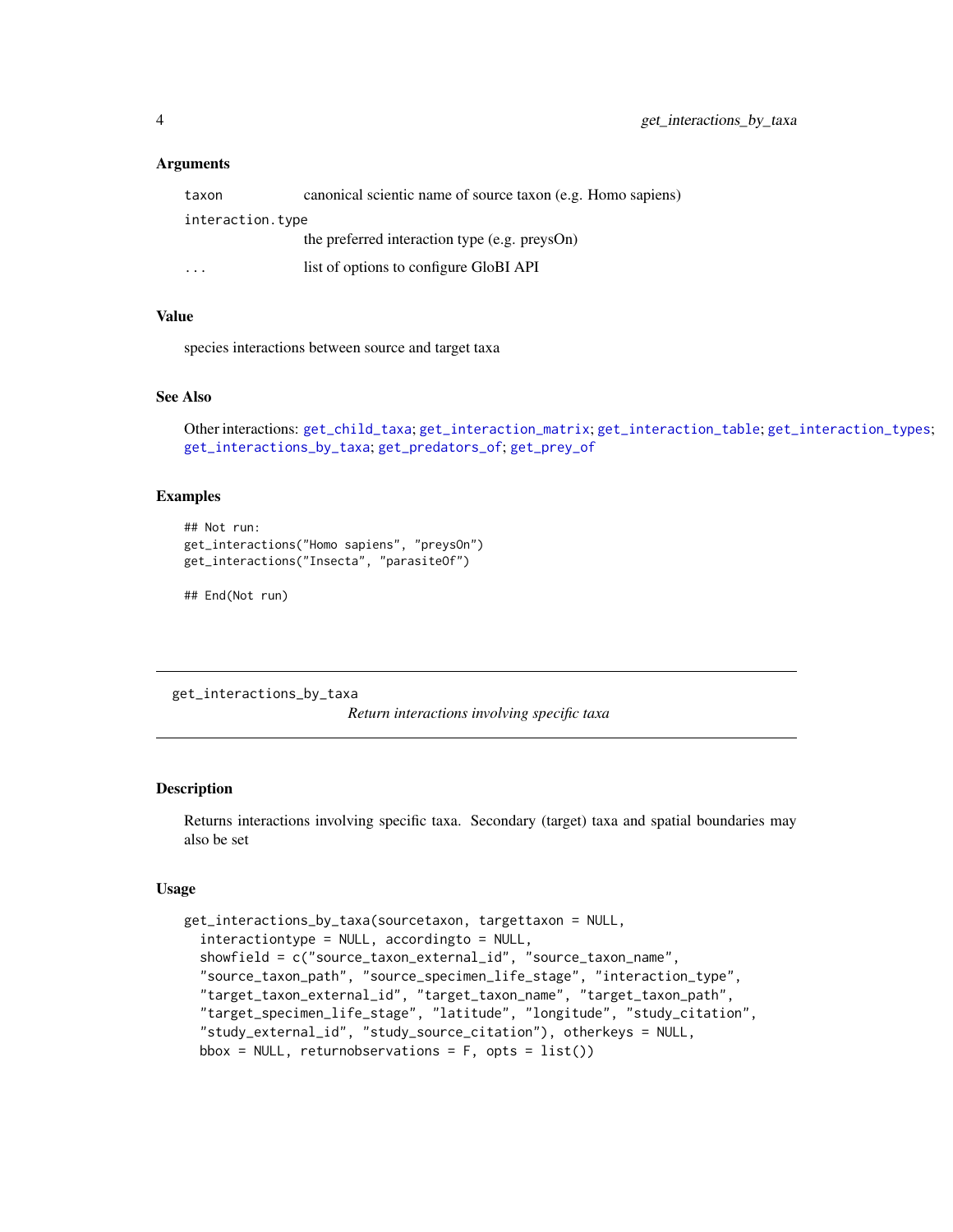#### <span id="page-3-0"></span>**Arguments**

| taxon            | canonical scientic name of source taxon (e.g. Homo sapiens) |
|------------------|-------------------------------------------------------------|
| interaction.type |                                                             |
|                  | the preferred interaction type (e.g. preysOn)               |
| .                | list of options to configure GloBI API                      |

#### Value

species interactions between source and target taxa

#### See Also

```
Other interactions: get_child_taxa; get_interaction_matrix; get_interaction_table; get_interaction_types;
get_interactions_by_taxa; get_predators_of; get_prey_of
```
#### Examples

```
## Not run:
get_interactions("Homo sapiens", "preysOn")
get_interactions("Insecta", "parasiteOf")
```
## End(Not run)

<span id="page-3-1"></span>get\_interactions\_by\_taxa

*Return interactions involving specific taxa*

# Description

Returns interactions involving specific taxa. Secondary (target) taxa and spatial boundaries may also be set

```
get_interactions_by_taxa(sourcetaxon, targettaxon = NULL,
  interactiontype = NULL, accordingto = NULL,
  showfield = c("source_taxon_external_id", "source_taxon_name",
  "source_taxon_path", "source_specimen_life_stage", "interaction_type",
  "target_taxon_external_id", "target_taxon_name", "target_taxon_path",
  "target_specimen_life_stage", "latitude", "longitude", "study_citation",
  "study_external_id", "study_source_citation"), otherkeys = NULL,
  bbox = NULL, returnobservations = F, opts = list()
```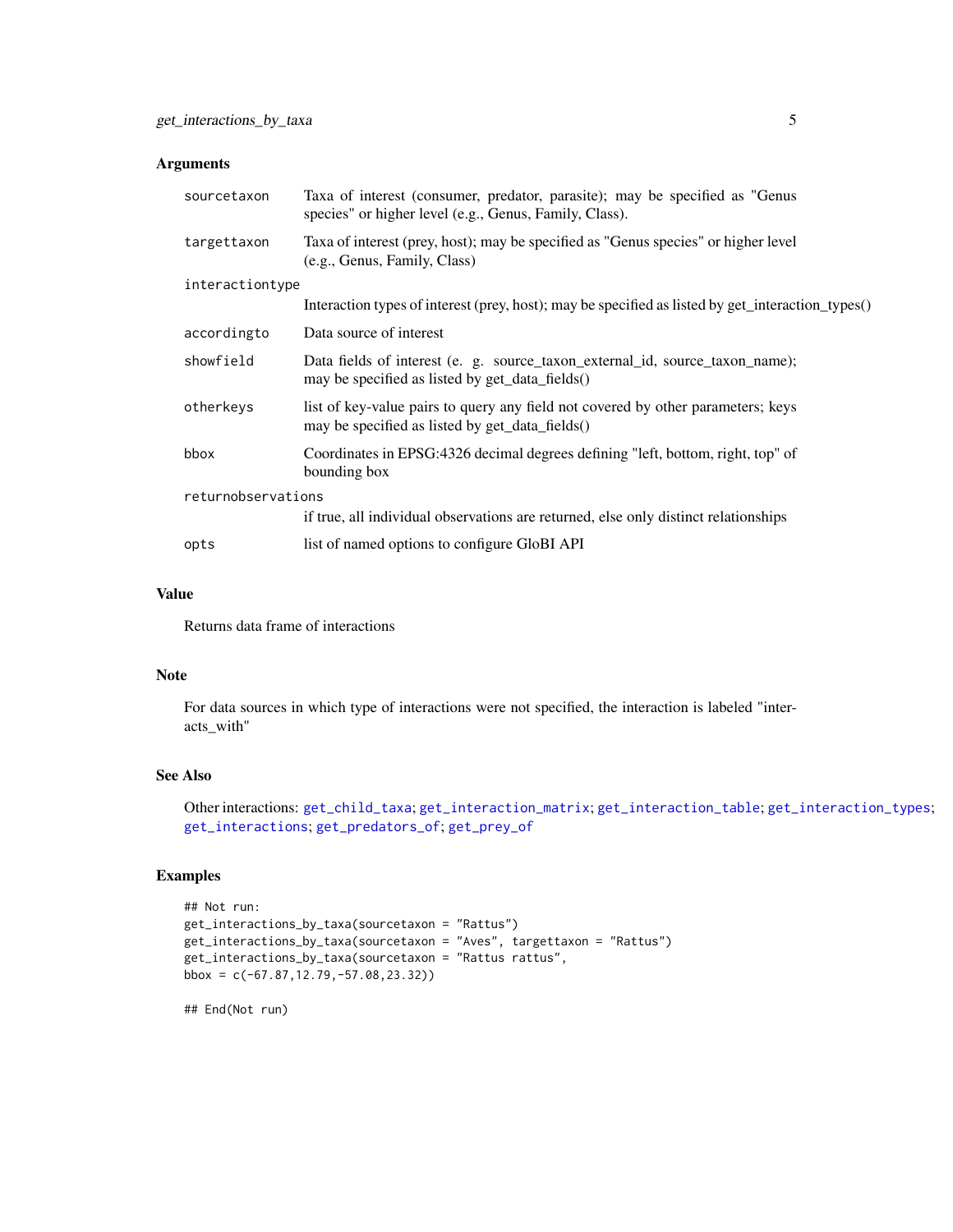#### <span id="page-4-0"></span>Arguments

| sourcetaxon        | Taxa of interest (consumer, predator, parasite); may be specified as "Genus"<br>species" or higher level (e.g., Genus, Family, Class). |  |
|--------------------|----------------------------------------------------------------------------------------------------------------------------------------|--|
| targettaxon        | Taxa of interest (prey, host); may be specified as "Genus species" or higher level<br>(e.g., Genus, Family, Class)                     |  |
| interactiontype    |                                                                                                                                        |  |
|                    | Interaction types of interest (prey, host); may be specified as listed by get_interaction_types()                                      |  |
| accordingto        | Data source of interest                                                                                                                |  |
| showfield          | Data fields of interest (e. g. source_taxon_external_id, source_taxon_name);<br>may be specified as listed by get_data_fields()        |  |
| otherkeys          | list of key-value pairs to query any field not covered by other parameters; keys<br>may be specified as listed by get_data_fields()    |  |
| bbox               | Coordinates in EPSG:4326 decimal degrees defining "left, bottom, right, top" of<br>bounding box                                        |  |
| returnobservations |                                                                                                                                        |  |
|                    | if true, all individual observations are returned, else only distinct relationships                                                    |  |
| opts               | list of named options to configure GloBI API                                                                                           |  |

# Value

Returns data frame of interactions

#### Note

For data sources in which type of interactions were not specified, the interaction is labeled "interacts\_with"

#### See Also

Other interactions: [get\\_child\\_taxa](#page-1-1); [get\\_interaction\\_matrix](#page-6-1); [get\\_interaction\\_table](#page-7-1); [get\\_interaction\\_types](#page-8-1); [get\\_interactions](#page-2-1); [get\\_predators\\_of](#page-9-1); [get\\_prey\\_of](#page-9-2)

#### Examples

```
## Not run:
get_interactions_by_taxa(sourcetaxon = "Rattus")
get_interactions_by_taxa(sourcetaxon = "Aves", targettaxon = "Rattus")
get_interactions_by_taxa(sourcetaxon = "Rattus rattus",
bbox = c(-67.87,12.79,-57.08,23.32))
```
## End(Not run)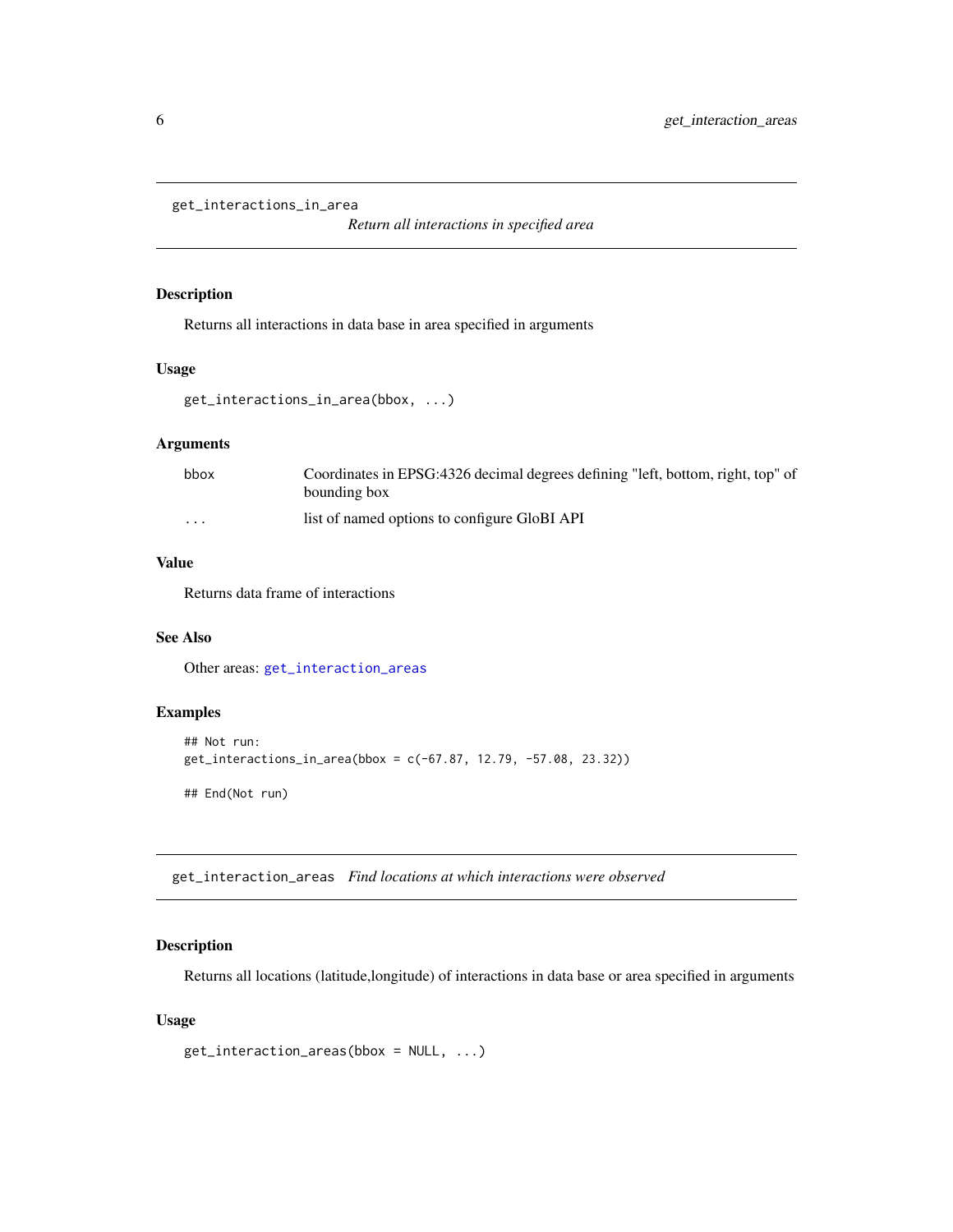```
get_interactions_in_area
```
*Return all interactions in specified area*

# Description

Returns all interactions in data base in area specified in arguments

# Usage

```
get_interactions_in_area(bbox, ...)
```
# Arguments

| bbox                    | Coordinates in EPSG:4326 decimal degrees defining "left, bottom, right, top" of<br>bounding box |
|-------------------------|-------------------------------------------------------------------------------------------------|
|                         |                                                                                                 |
| $\cdot$ $\cdot$ $\cdot$ | list of named options to configure GloBI API                                                    |

# Value

Returns data frame of interactions

# See Also

Other areas: [get\\_interaction\\_areas](#page-5-1)

# Examples

```
## Not run:
get_interactions_in_area(bbox = c(-67.87, 12.79, -57.08, 23.32))
## End(Not run)
```
<span id="page-5-1"></span>get\_interaction\_areas *Find locations at which interactions were observed*

#### Description

Returns all locations (latitude,longitude) of interactions in data base or area specified in arguments

```
get_interaction_areas(bbox = NULL, ...)
```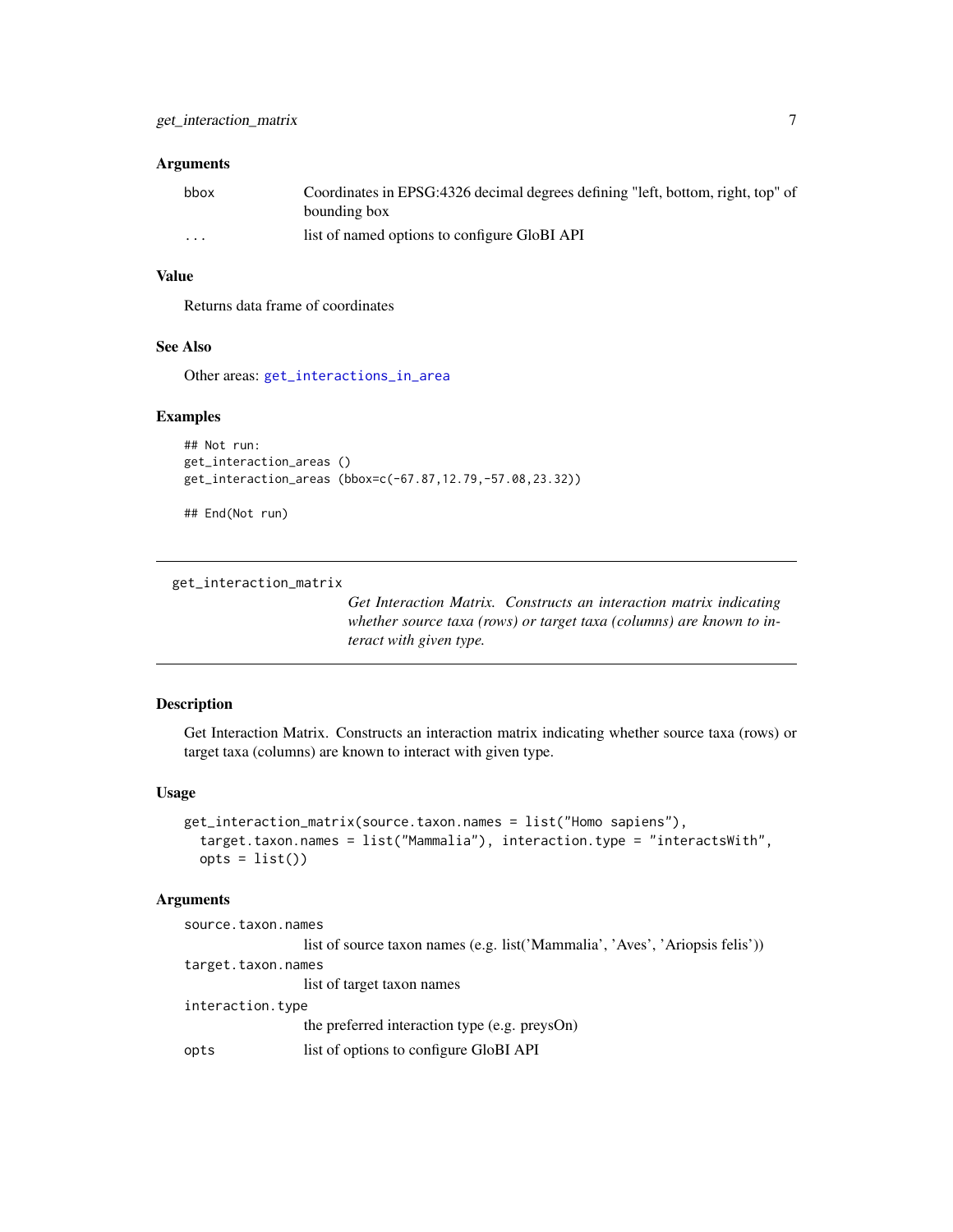# <span id="page-6-0"></span>Arguments

| bbox     | Coordinates in EPSG:4326 decimal degrees defining "left, bottom, right, top" of |
|----------|---------------------------------------------------------------------------------|
|          | bounding box                                                                    |
| $\cdots$ | list of named options to configure GloBI API                                    |

# Value

Returns data frame of coordinates

# See Also

Other areas: [get\\_interactions\\_in\\_area](#page-5-2)

#### Examples

```
## Not run:
get_interaction_areas ()
get_interaction_areas (bbox=c(-67.87,12.79,-57.08,23.32))
```
## End(Not run)

<span id="page-6-1"></span>get\_interaction\_matrix

*Get Interaction Matrix. Constructs an interaction matrix indicating whether source taxa (rows) or target taxa (columns) are known to interact with given type.*

# Description

Get Interaction Matrix. Constructs an interaction matrix indicating whether source taxa (rows) or target taxa (columns) are known to interact with given type.

#### Usage

```
get_interaction_matrix(source.taxon.names = list("Homo sapiens"),
  target.taxon.names = list("Mammalia"), interaction.type = "interactsWith",
 opts = list()
```
# Arguments

| source.taxon.names |                                                                              |
|--------------------|------------------------------------------------------------------------------|
|                    | list of source taxon names (e.g. list('Mammalia', 'Aves', 'Ariopsis felis')) |
| target.taxon.names |                                                                              |
|                    | list of target taxon names                                                   |
| interaction.type   |                                                                              |
|                    | the preferred interaction type (e.g. preysOn)                                |
| opts               | list of options to configure GloBI API                                       |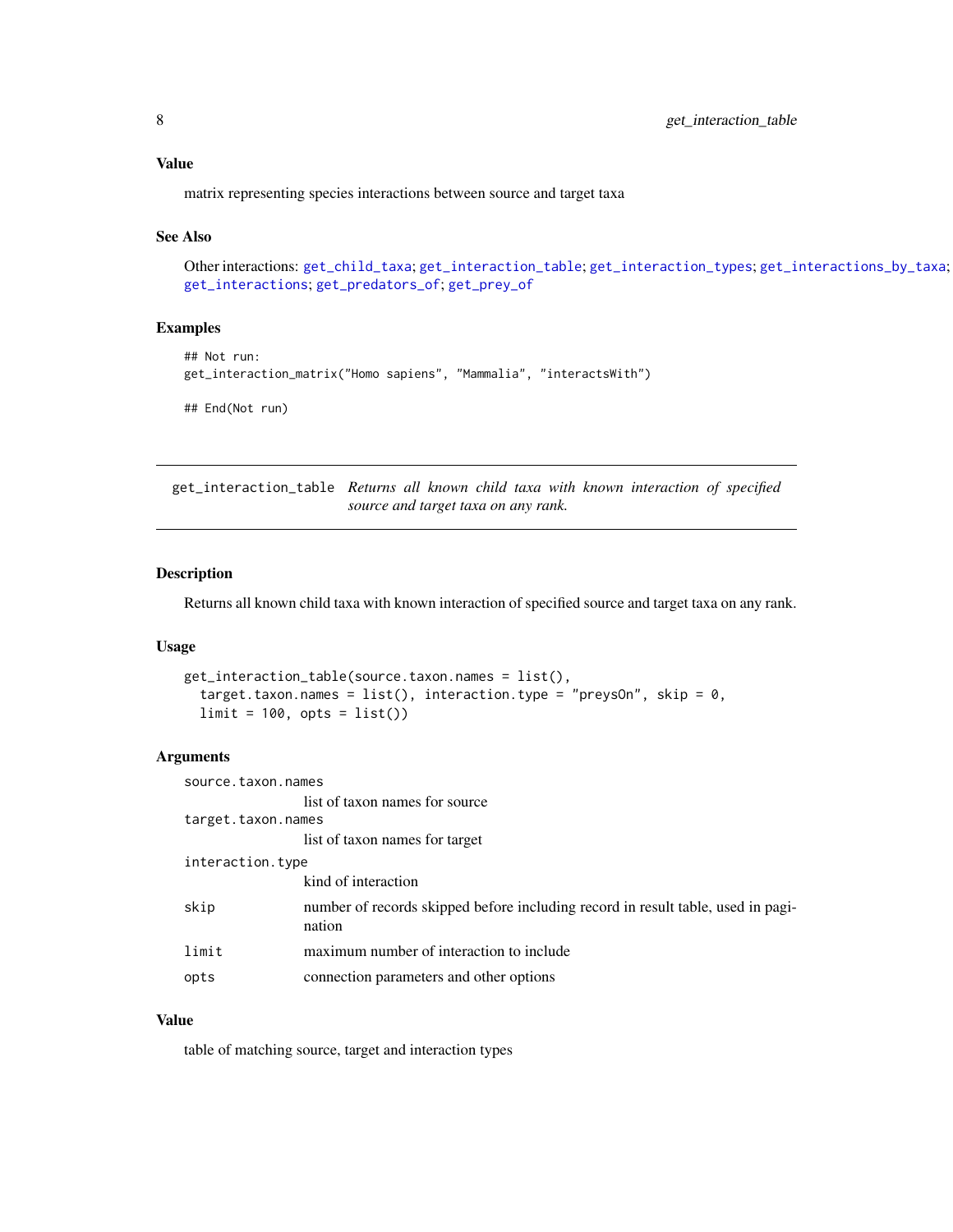### <span id="page-7-0"></span>Value

matrix representing species interactions between source and target taxa

# See Also

Other interactions: [get\\_child\\_taxa](#page-1-1); [get\\_interaction\\_table](#page-7-1); [get\\_interaction\\_types](#page-8-1); [get\\_interactions\\_by\\_taxa](#page-3-1); [get\\_interactions](#page-2-1); [get\\_predators\\_of](#page-9-1); [get\\_prey\\_of](#page-9-2)

#### Examples

```
## Not run:
get_interaction_matrix("Homo sapiens", "Mammalia", "interactsWith")
## End(Not run)
```
<span id="page-7-1"></span>get\_interaction\_table *Returns all known child taxa with known interaction of specified source and target taxa on any rank.*

# Description

Returns all known child taxa with known interaction of specified source and target taxa on any rank.

#### Usage

```
get_interaction_table(source.taxon.names = list(),
  target.taxon.names = list(), interaction.type = "preysOn", skip = 0,
 limit = 100, opts = list()
```
# Arguments

| source.taxon.names |                                                                                            |  |
|--------------------|--------------------------------------------------------------------------------------------|--|
|                    | list of taxon names for source                                                             |  |
| target.taxon.names |                                                                                            |  |
|                    | list of taxon names for target                                                             |  |
| interaction.type   |                                                                                            |  |
|                    | kind of interaction                                                                        |  |
| skip               | number of records skipped before including record in result table, used in pagi-<br>nation |  |
| limit              | maximum number of interaction to include                                                   |  |
| opts               | connection parameters and other options                                                    |  |

# Value

table of matching source, target and interaction types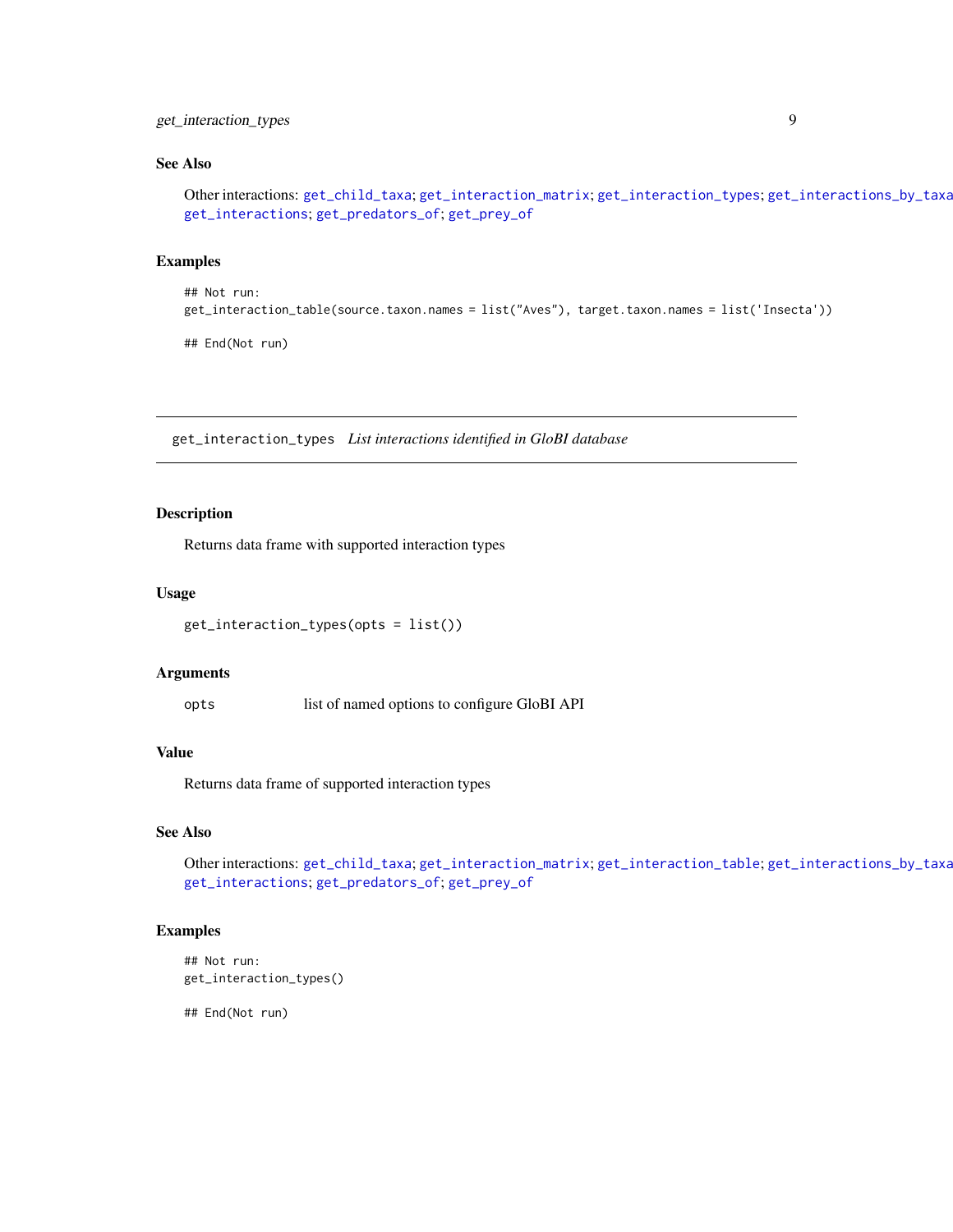# <span id="page-8-0"></span>get\_interaction\_types 9

# See Also

Other interactions: [get\\_child\\_taxa](#page-1-1); [get\\_interaction\\_matrix](#page-6-1); [get\\_interaction\\_types](#page-8-1); [get\\_interactions\\_by\\_taxa](#page-3-1); [get\\_interactions](#page-2-1); [get\\_predators\\_of](#page-9-1); [get\\_prey\\_of](#page-9-2)

#### Examples

```
## Not run:
get_interaction_table(source.taxon.names = list("Aves"), target.taxon.names = list('Insecta'))
```
## End(Not run)

<span id="page-8-1"></span>get\_interaction\_types *List interactions identified in GloBI database*

# Description

Returns data frame with supported interaction types

#### Usage

```
get_interaction_types(opts = list())
```
#### Arguments

opts list of named options to configure GloBI API

#### Value

Returns data frame of supported interaction types

# See Also

Other interactions: [get\\_child\\_taxa](#page-1-1); [get\\_interaction\\_matrix](#page-6-1); [get\\_interaction\\_table](#page-7-1); [get\\_interactions\\_by\\_taxa](#page-3-1); [get\\_interactions](#page-2-1); [get\\_predators\\_of](#page-9-1); [get\\_prey\\_of](#page-9-2)

#### Examples

```
## Not run:
get_interaction_types()
```
## End(Not run)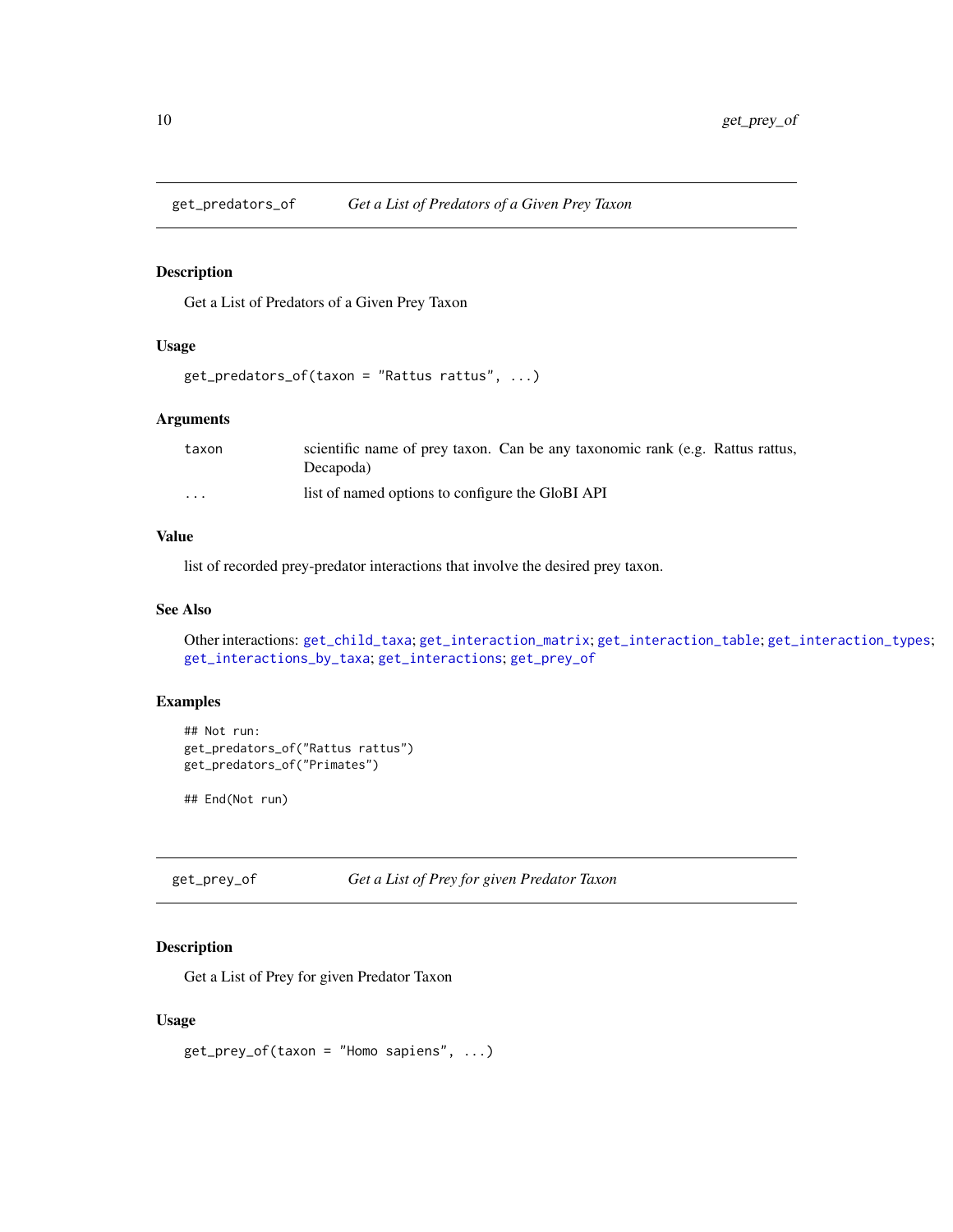<span id="page-9-1"></span><span id="page-9-0"></span>

# Description

Get a List of Predators of a Given Prey Taxon

# Usage

```
get_predators_of(taxon = "Rattus rattus", ...)
```
# Arguments

| taxon    | scientific name of prey taxon. Can be any taxonomic rank (e.g. Rattus rattus,<br>Decapoda) |
|----------|--------------------------------------------------------------------------------------------|
| $\cdots$ | list of named options to configure the GloBI API                                           |

# Value

list of recorded prey-predator interactions that involve the desired prey taxon.

# See Also

Other interactions: [get\\_child\\_taxa](#page-1-1); [get\\_interaction\\_matrix](#page-6-1); [get\\_interaction\\_table](#page-7-1); [get\\_interaction\\_types](#page-8-1); [get\\_interactions\\_by\\_taxa](#page-3-1); [get\\_interactions](#page-2-1); [get\\_prey\\_of](#page-9-2)

# Examples

```
## Not run:
get_predators_of("Rattus rattus")
get_predators_of("Primates")
```
## End(Not run)

<span id="page-9-2"></span>get\_prey\_of *Get a List of Prey for given Predator Taxon*

# Description

Get a List of Prey for given Predator Taxon

```
get_prey_of(taxon = "Homo sapiens", ...)
```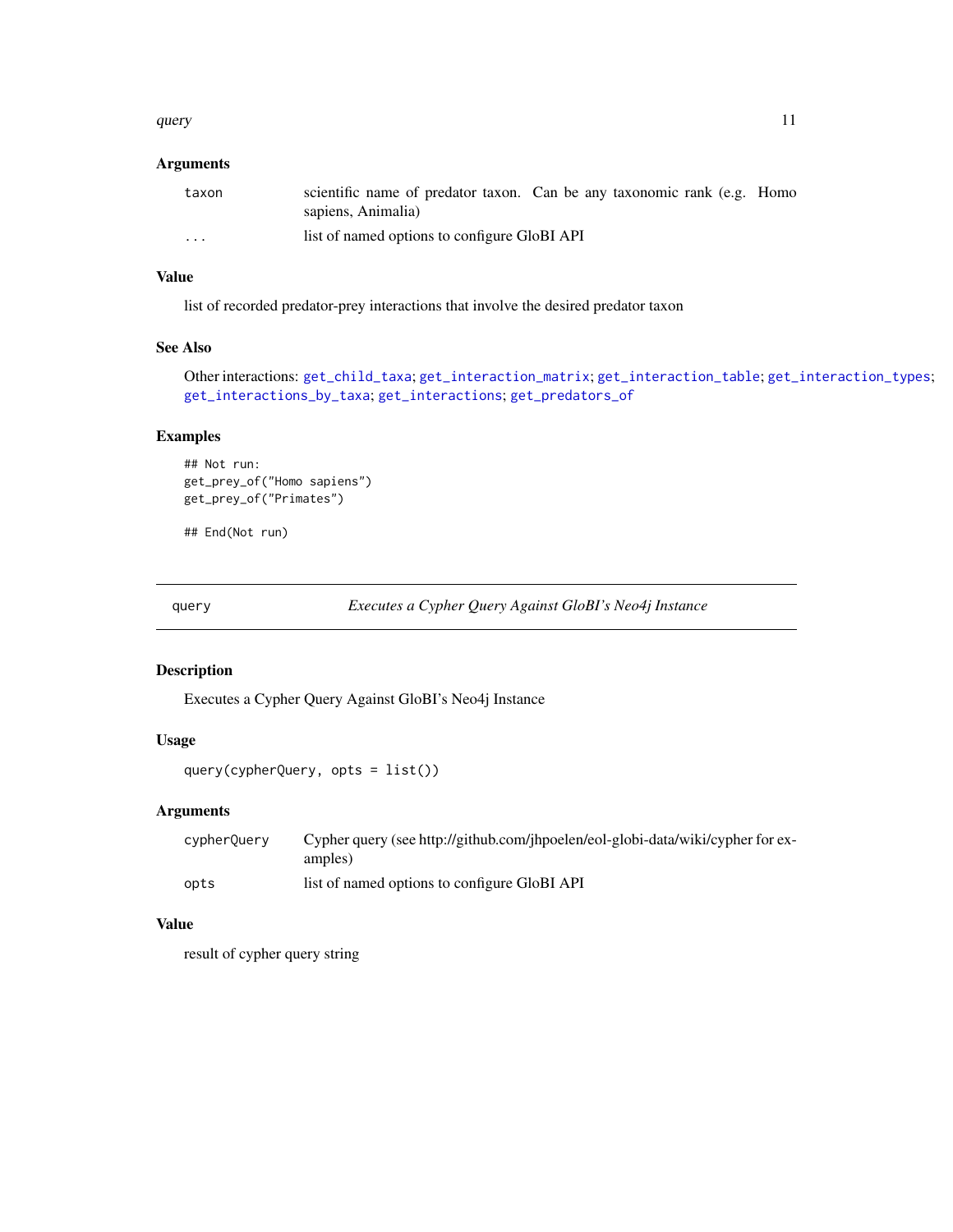#### <span id="page-10-0"></span>query and the contract of the contract of the contract of the contract of the contract of the contract of the contract of the contract of the contract of the contract of the contract of the contract of the contract of the

# Arguments

| taxon | scientific name of predator taxon. Can be any taxonomic rank (e.g. Homo<br>sapiens, Animalia) |
|-------|-----------------------------------------------------------------------------------------------|
| .     | list of named options to configure GloBI API                                                  |

# Value

list of recorded predator-prey interactions that involve the desired predator taxon

# See Also

Other interactions: [get\\_child\\_taxa](#page-1-1); [get\\_interaction\\_matrix](#page-6-1); [get\\_interaction\\_table](#page-7-1); [get\\_interaction\\_types](#page-8-1); [get\\_interactions\\_by\\_taxa](#page-3-1); [get\\_interactions](#page-2-1); [get\\_predators\\_of](#page-9-1)

# Examples

```
## Not run:
get_prey_of("Homo sapiens")
get_prey_of("Primates")
```
## End(Not run)

query *Executes a Cypher Query Against GloBI's Neo4j Instance*

#### Description

Executes a Cypher Query Against GloBI's Neo4j Instance

# Usage

query(cypherQuery, opts = list())

# Arguments

| cypherQuery | Cypher query (see http://github.com/jhpoelen/eol-globi-data/wiki/cypher for ex-<br>amples) |
|-------------|--------------------------------------------------------------------------------------------|
| opts        | list of named options to configure GloBI API                                               |

#### Value

result of cypher query string